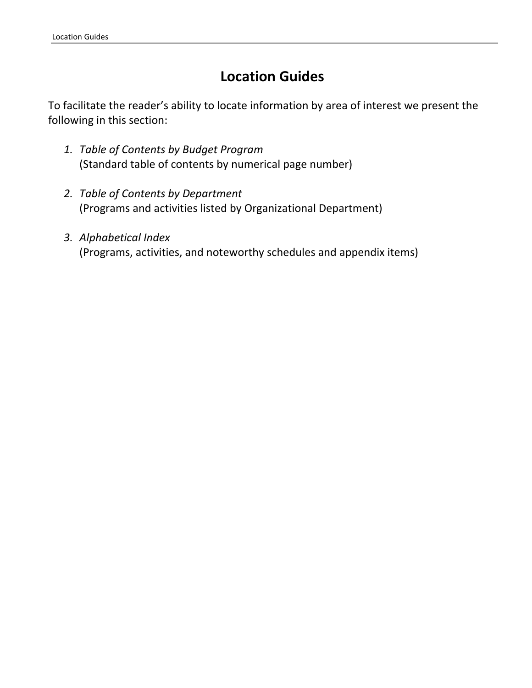# **Location Guides**

To facilitate the reader's ability to locate information by area of interest we present the following in this section:

- *1. Table of Contents by Budget Program*  (Standard table of contents by numerical page number)
- *2. Table of Contents by Department*  (Programs and activities listed by Organizational Department)
- *3. Alphabetical Index*  (Programs, activities, and noteworthy schedules and appendix items)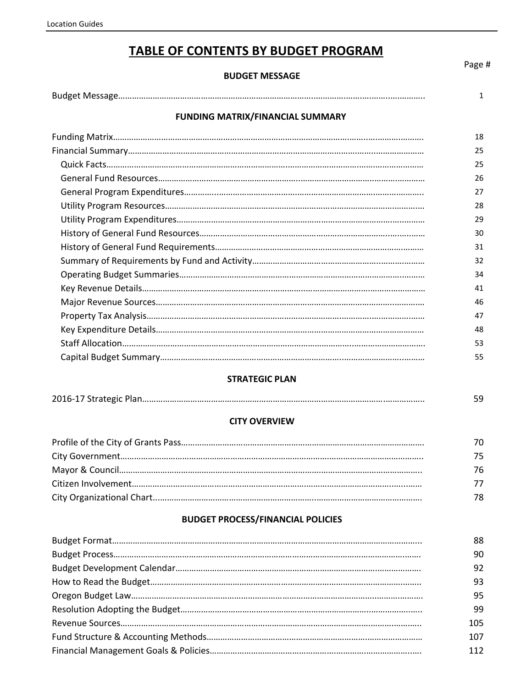## **TABLE OF CONTENTS BY BUDGET PROGRAM**

#### **BUDGET MESSAGE**

|                                         | $\mathbf{1}$ |
|-----------------------------------------|--------------|
| <b>FUNDING MATRIX/FINANCIAL SUMMARY</b> |              |
|                                         | 18           |
|                                         | 25           |
|                                         | 25           |
|                                         | 26           |
|                                         | 27           |
|                                         | 28           |
|                                         | 29           |
|                                         | 30           |
|                                         | 31           |
|                                         | 32           |
|                                         | 34           |
|                                         | 41           |
|                                         | 46           |
|                                         | 47           |
|                                         | 48           |
|                                         | 53           |
|                                         | 55           |

## **STRATEGIC PLAN**

|--|--|

## **CITY OVERVIEW**

| 70 |
|----|
| 75 |
| 76 |
| 77 |
| 78 |

### **BUDGET PROCESS/FINANCIAL POLICIES**

| 88  |
|-----|
| 90  |
| 92  |
| 93  |
| 95  |
| 99  |
| 105 |
| 107 |
| 112 |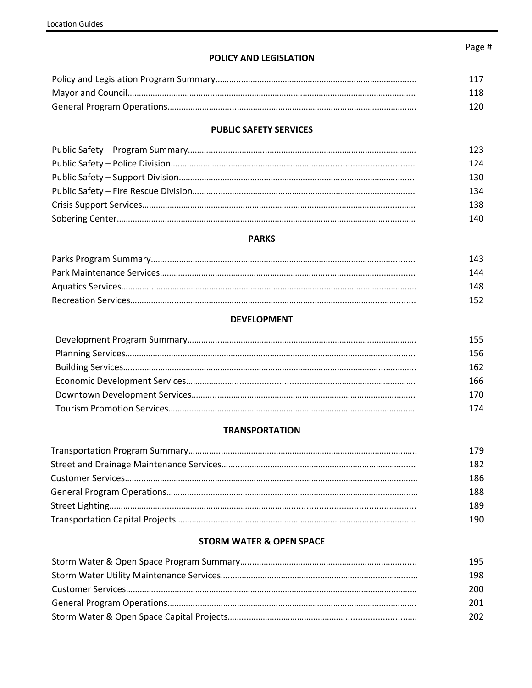## **POLICY AND LEGISLATION**

| 117 |
|-----|
| 118 |
| 120 |

#### **PUBLIC SAFETY SERVICES**

| 123. |
|------|
| 124  |
| 130  |
| 134  |
| 138  |
| 140. |

#### **PARKS**

| 143. |
|------|
| 144  |
| 148. |
| 152  |

#### **DEVELOPMENT**

| 155. |
|------|
| 156  |
| 162. |
| 166  |
| 170  |
| 174  |

## **TRANSPORTATION**

| 179. |
|------|
| 182  |
| 186  |
| 188  |
| 189  |
| 190  |

## **STORM WATER & OPEN SPACE**

| 195  |
|------|
| 198  |
| 200  |
| 201  |
| 202. |

#### Page #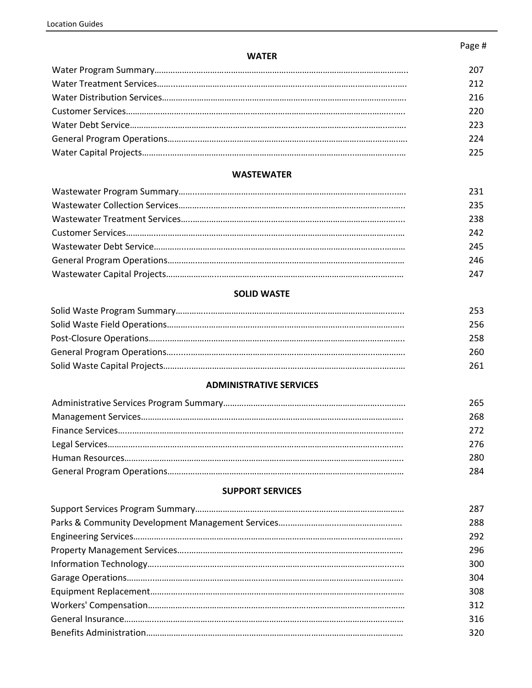## Page #

#### **WATER**

| 207 |
|-----|
| 212 |
| 216 |
| 220 |
| 223 |
| 224 |
| 225 |

### **WASTEWATER**

| 231  |
|------|
| 235. |
| 238  |
| 242  |
| 245  |
| 246  |
| 247  |

## **SOLID WASTE**

| 253 |
|-----|
| 256 |
| 258 |
| 260 |
| 261 |

#### **ADMINISTRATIVE SERVICES**

| 265. |
|------|
| 268. |
| 272  |
| 276  |
| 280. |
| 284  |

## **SUPPORT SERVICES**

| 287 |
|-----|
| 288 |
| 292 |
| 296 |
| 300 |
| 304 |
| 308 |
| 312 |
| 316 |
| 320 |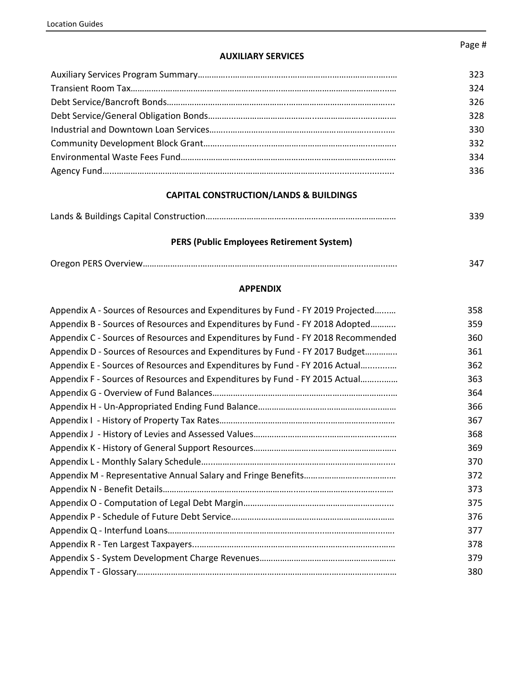#### **AUXILIARY SERVICES**

| 323. |
|------|
| 324  |
| 326  |
| 328  |
| 330  |
| 332  |
| 334  |
| 336  |

#### **CAPITAL CONSTRUCTION/LANDS & BUILDINGS**

|--|--|

## **PERS (Public Employees Retirement System)**

|--|--|

## **APPENDIX**

| Appendix A - Sources of Resources and Expenditures by Fund - FY 2019 Projected   | 358 |
|----------------------------------------------------------------------------------|-----|
| Appendix B - Sources of Resources and Expenditures by Fund - FY 2018 Adopted     | 359 |
| Appendix C - Sources of Resources and Expenditures by Fund - FY 2018 Recommended | 360 |
| Appendix D - Sources of Resources and Expenditures by Fund - FY 2017 Budget      | 361 |
| Appendix E - Sources of Resources and Expenditures by Fund - FY 2016 Actual      | 362 |
| Appendix F - Sources of Resources and Expenditures by Fund - FY 2015 Actual      | 363 |
|                                                                                  | 364 |
|                                                                                  | 366 |
|                                                                                  | 367 |
|                                                                                  | 368 |
|                                                                                  | 369 |
|                                                                                  | 370 |
|                                                                                  | 372 |
|                                                                                  | 373 |
|                                                                                  | 375 |
|                                                                                  | 376 |
|                                                                                  | 377 |
|                                                                                  | 378 |
|                                                                                  | 379 |
|                                                                                  | 380 |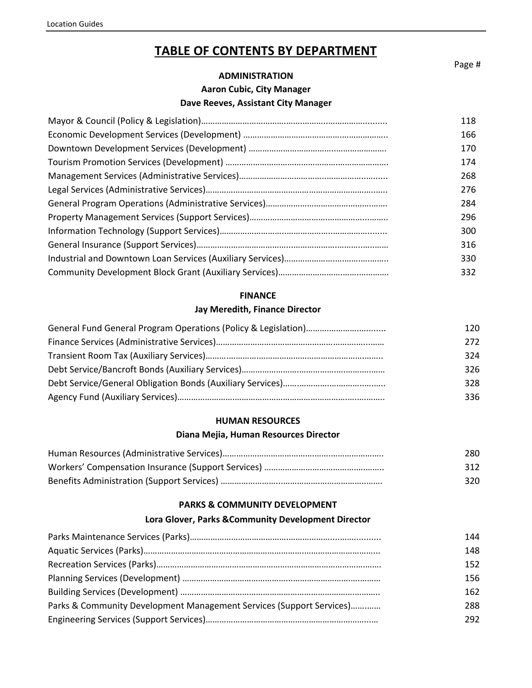## **TABLE OF CONTENTS BY DEPARTMENT**

**ADMINISTRATION**

**Aaron Cubic, City Manager** 

#### **Dave Reeves, Assistant City Manager**

| 118 |
|-----|
| 166 |
| 170 |
| 174 |
| 268 |
| 276 |
| 284 |
| 296 |
| 300 |
| 316 |
| 330 |
| 332 |
|     |

#### **FINANCE**

#### **Jay Meredith, Finance Director**

| 120 |
|-----|
| 272 |
| 324 |
| 326 |
| 328 |
| 336 |

#### **HUMAN RESOURCES**

#### **Diana Mejia, Human Resources Director**

| 280 |
|-----|
| 312 |
| 320 |

#### **PARKS & COMMUNITY DEVELOPMENT**

#### **Lora Glover, Parks &Community Development Director**

|                                                                      | 144  |
|----------------------------------------------------------------------|------|
|                                                                      | 148  |
|                                                                      | 152  |
|                                                                      | 156  |
|                                                                      | 162  |
| Parks & Community Development Management Services (Support Services) | 288  |
|                                                                      | 292. |

Page #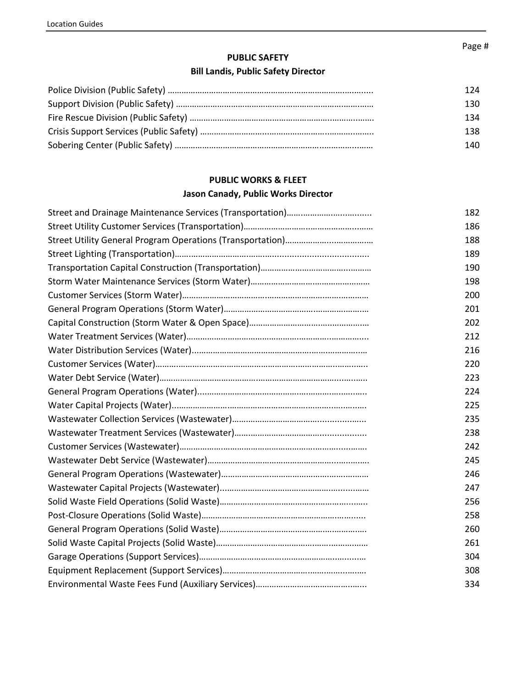## **PUBLIC SAFETY**

## **Bill Landis, Public Safety Director**

| 124 |
|-----|
| 130 |
| 134 |
| 138 |
| 140 |

## **PUBLIC WORKS & FLEET**

## **Jason Canady, Public Works Director**

| 182 |
|-----|
| 186 |
| 188 |
| 189 |
| 190 |
| 198 |
| 200 |
| 201 |
| 202 |
| 212 |
| 216 |
| 220 |
| 223 |
| 224 |
| 225 |
| 235 |
| 238 |
| 242 |
| 245 |
| 246 |
| 247 |
| 256 |
| 258 |
| 260 |
| 261 |
| 304 |
| 308 |
| 334 |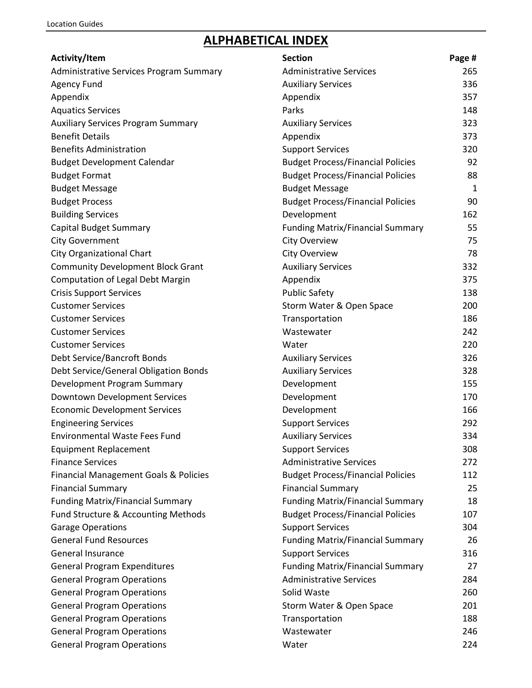# **ALPHABETICAL INDEX**

| Activity/Item                             | <b>Section</b>                           | Page # |
|-------------------------------------------|------------------------------------------|--------|
| Administrative Services Program Summary   | <b>Administrative Services</b>           | 265    |
| <b>Agency Fund</b>                        | <b>Auxiliary Services</b>                | 336    |
| Appendix                                  | Appendix                                 | 357    |
| <b>Aquatics Services</b>                  | Parks                                    | 148    |
| <b>Auxiliary Services Program Summary</b> | <b>Auxiliary Services</b>                | 323    |
| <b>Benefit Details</b>                    | Appendix                                 | 373    |
| <b>Benefits Administration</b>            | <b>Support Services</b>                  | 320    |
| <b>Budget Development Calendar</b>        | <b>Budget Process/Financial Policies</b> | 92     |
| <b>Budget Format</b>                      | <b>Budget Process/Financial Policies</b> | 88     |
| <b>Budget Message</b>                     | <b>Budget Message</b>                    | 1      |
| <b>Budget Process</b>                     | <b>Budget Process/Financial Policies</b> | 90     |
| <b>Building Services</b>                  | Development                              | 162    |
| Capital Budget Summary                    | <b>Funding Matrix/Financial Summary</b>  | 55     |
| <b>City Government</b>                    | <b>City Overview</b>                     | 75     |
| City Organizational Chart                 | <b>City Overview</b>                     | 78     |
| <b>Community Development Block Grant</b>  | <b>Auxiliary Services</b>                | 332    |
| <b>Computation of Legal Debt Margin</b>   | Appendix                                 | 375    |
| <b>Crisis Support Services</b>            | <b>Public Safety</b>                     | 138    |
| <b>Customer Services</b>                  | Storm Water & Open Space                 | 200    |
| <b>Customer Services</b>                  | Transportation                           | 186    |
| <b>Customer Services</b>                  | Wastewater                               | 242    |
| <b>Customer Services</b>                  | Water                                    | 220    |
| Debt Service/Bancroft Bonds               | <b>Auxiliary Services</b>                | 326    |
| Debt Service/General Obligation Bonds     | <b>Auxiliary Services</b>                | 328    |
| Development Program Summary               | Development                              | 155    |
| Downtown Development Services             | Development                              | 170    |
| <b>Economic Development Services</b>      | Development                              | 166    |
| <b>Engineering Services</b>               | <b>Support Services</b>                  | 292    |
| <b>Environmental Waste Fees Fund</b>      | <b>Auxiliary Services</b>                | 334    |
| <b>Equipment Replacement</b>              | <b>Support Services</b>                  | 308    |
| <b>Finance Services</b>                   | <b>Administrative Services</b>           | 272    |
| Financial Management Goals & Policies     | <b>Budget Process/Financial Policies</b> | 112    |
| <b>Financial Summary</b>                  | <b>Financial Summary</b>                 | 25     |
| <b>Funding Matrix/Financial Summary</b>   | <b>Funding Matrix/Financial Summary</b>  | 18     |
| Fund Structure & Accounting Methods       | <b>Budget Process/Financial Policies</b> | 107    |
| <b>Garage Operations</b>                  | <b>Support Services</b>                  | 304    |
| <b>General Fund Resources</b>             | <b>Funding Matrix/Financial Summary</b>  | 26     |
| <b>General Insurance</b>                  | <b>Support Services</b>                  | 316    |
| <b>General Program Expenditures</b>       | <b>Funding Matrix/Financial Summary</b>  | 27     |
| <b>General Program Operations</b>         | <b>Administrative Services</b>           | 284    |
| <b>General Program Operations</b>         | Solid Waste                              | 260    |
| <b>General Program Operations</b>         | Storm Water & Open Space                 | 201    |
| <b>General Program Operations</b>         | Transportation                           | 188    |
| <b>General Program Operations</b>         | Wastewater                               | 246    |
| <b>General Program Operations</b>         | Water                                    | 224    |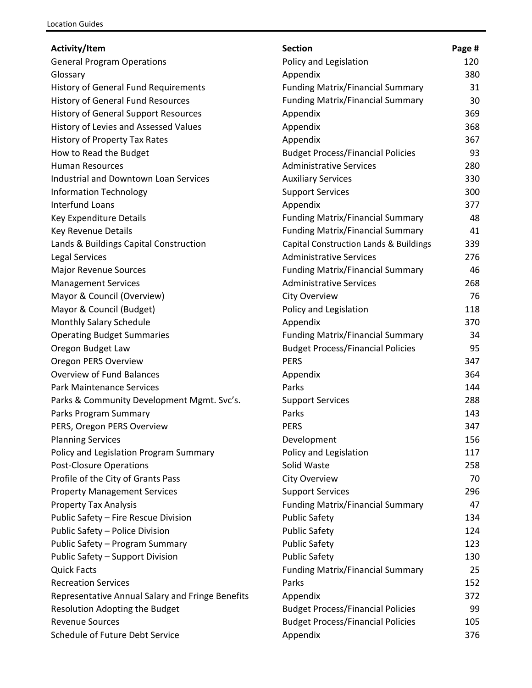| <b>General Program Operations</b><br>Policy and Legislation<br>120<br>380<br>Glossary<br>Appendix<br><b>Funding Matrix/Financial Summary</b><br><b>History of General Fund Requirements</b><br>31<br><b>Funding Matrix/Financial Summary</b><br><b>History of General Fund Resources</b><br>30<br>369<br><b>History of General Support Resources</b><br>Appendix<br>Appendix<br>368<br>History of Levies and Assessed Values<br>History of Property Tax Rates<br>Appendix<br>367<br>How to Read the Budget<br><b>Budget Process/Financial Policies</b><br>93<br><b>Human Resources</b><br><b>Administrative Services</b><br>280<br><b>Industrial and Downtown Loan Services</b><br><b>Auxiliary Services</b><br>330<br><b>Information Technology</b><br><b>Support Services</b><br>300<br><b>Interfund Loans</b><br>Appendix<br>377<br><b>Funding Matrix/Financial Summary</b><br>Key Expenditure Details<br>48<br><b>Funding Matrix/Financial Summary</b><br>Key Revenue Details<br>41<br>Lands & Buildings Capital Construction<br>Capital Construction Lands & Buildings<br>339<br><b>Administrative Services</b><br><b>Legal Services</b><br>276<br><b>Funding Matrix/Financial Summary</b><br>Major Revenue Sources<br>46<br><b>Administrative Services</b><br>268<br><b>Management Services</b><br>Mayor & Council (Overview)<br><b>City Overview</b><br>76<br>Mayor & Council (Budget)<br>Policy and Legislation<br>118<br>Monthly Salary Schedule<br>Appendix<br>370<br><b>Operating Budget Summaries</b><br><b>Funding Matrix/Financial Summary</b><br>34<br>Oregon Budget Law<br><b>Budget Process/Financial Policies</b><br>95<br>Oregon PERS Overview<br><b>PERS</b><br>347<br><b>Overview of Fund Balances</b><br>Appendix<br>364<br><b>Park Maintenance Services</b><br>Parks<br>144<br>Parks & Community Development Mgmt. Svc's.<br><b>Support Services</b><br>288<br>Parks Program Summary<br>Parks<br>143<br>PERS, Oregon PERS Overview<br><b>PERS</b><br>347<br><b>Planning Services</b><br>Development<br>156<br>Policy and Legislation<br>Policy and Legislation Program Summary<br>117<br><b>Post-Closure Operations</b><br>Solid Waste<br>258<br>Profile of the City of Grants Pass<br>City Overview<br>70<br><b>Property Management Services</b><br><b>Support Services</b><br>296<br><b>Funding Matrix/Financial Summary</b><br>47<br><b>Property Tax Analysis</b><br>Public Safety - Fire Rescue Division<br><b>Public Safety</b><br>134<br>Public Safety - Police Division<br><b>Public Safety</b><br>124<br>Public Safety - Program Summary<br><b>Public Safety</b><br>123<br><b>Public Safety</b><br>Public Safety - Support Division<br>130<br><b>Quick Facts</b><br><b>Funding Matrix/Financial Summary</b><br>25 | Activity/Item              | <b>Section</b> | Page # |
|--------------------------------------------------------------------------------------------------------------------------------------------------------------------------------------------------------------------------------------------------------------------------------------------------------------------------------------------------------------------------------------------------------------------------------------------------------------------------------------------------------------------------------------------------------------------------------------------------------------------------------------------------------------------------------------------------------------------------------------------------------------------------------------------------------------------------------------------------------------------------------------------------------------------------------------------------------------------------------------------------------------------------------------------------------------------------------------------------------------------------------------------------------------------------------------------------------------------------------------------------------------------------------------------------------------------------------------------------------------------------------------------------------------------------------------------------------------------------------------------------------------------------------------------------------------------------------------------------------------------------------------------------------------------------------------------------------------------------------------------------------------------------------------------------------------------------------------------------------------------------------------------------------------------------------------------------------------------------------------------------------------------------------------------------------------------------------------------------------------------------------------------------------------------------------------------------------------------------------------------------------------------------------------------------------------------------------------------------------------------------------------------------------------------------------------------------------------------------------------------------------------------------------------------------------------------------------------------------------------------------------------------------------------------------------------------------------------------------------------------------|----------------------------|----------------|--------|
|                                                                                                                                                                                                                                                                                                                                                                                                                                                                                                                                                                                                                                                                                                                                                                                                                                                                                                                                                                                                                                                                                                                                                                                                                                                                                                                                                                                                                                                                                                                                                                                                                                                                                                                                                                                                                                                                                                                                                                                                                                                                                                                                                                                                                                                                                                                                                                                                                                                                                                                                                                                                                                                                                                                                                  |                            |                |        |
|                                                                                                                                                                                                                                                                                                                                                                                                                                                                                                                                                                                                                                                                                                                                                                                                                                                                                                                                                                                                                                                                                                                                                                                                                                                                                                                                                                                                                                                                                                                                                                                                                                                                                                                                                                                                                                                                                                                                                                                                                                                                                                                                                                                                                                                                                                                                                                                                                                                                                                                                                                                                                                                                                                                                                  |                            |                |        |
|                                                                                                                                                                                                                                                                                                                                                                                                                                                                                                                                                                                                                                                                                                                                                                                                                                                                                                                                                                                                                                                                                                                                                                                                                                                                                                                                                                                                                                                                                                                                                                                                                                                                                                                                                                                                                                                                                                                                                                                                                                                                                                                                                                                                                                                                                                                                                                                                                                                                                                                                                                                                                                                                                                                                                  |                            |                |        |
|                                                                                                                                                                                                                                                                                                                                                                                                                                                                                                                                                                                                                                                                                                                                                                                                                                                                                                                                                                                                                                                                                                                                                                                                                                                                                                                                                                                                                                                                                                                                                                                                                                                                                                                                                                                                                                                                                                                                                                                                                                                                                                                                                                                                                                                                                                                                                                                                                                                                                                                                                                                                                                                                                                                                                  |                            |                |        |
|                                                                                                                                                                                                                                                                                                                                                                                                                                                                                                                                                                                                                                                                                                                                                                                                                                                                                                                                                                                                                                                                                                                                                                                                                                                                                                                                                                                                                                                                                                                                                                                                                                                                                                                                                                                                                                                                                                                                                                                                                                                                                                                                                                                                                                                                                                                                                                                                                                                                                                                                                                                                                                                                                                                                                  |                            |                |        |
|                                                                                                                                                                                                                                                                                                                                                                                                                                                                                                                                                                                                                                                                                                                                                                                                                                                                                                                                                                                                                                                                                                                                                                                                                                                                                                                                                                                                                                                                                                                                                                                                                                                                                                                                                                                                                                                                                                                                                                                                                                                                                                                                                                                                                                                                                                                                                                                                                                                                                                                                                                                                                                                                                                                                                  |                            |                |        |
|                                                                                                                                                                                                                                                                                                                                                                                                                                                                                                                                                                                                                                                                                                                                                                                                                                                                                                                                                                                                                                                                                                                                                                                                                                                                                                                                                                                                                                                                                                                                                                                                                                                                                                                                                                                                                                                                                                                                                                                                                                                                                                                                                                                                                                                                                                                                                                                                                                                                                                                                                                                                                                                                                                                                                  |                            |                |        |
|                                                                                                                                                                                                                                                                                                                                                                                                                                                                                                                                                                                                                                                                                                                                                                                                                                                                                                                                                                                                                                                                                                                                                                                                                                                                                                                                                                                                                                                                                                                                                                                                                                                                                                                                                                                                                                                                                                                                                                                                                                                                                                                                                                                                                                                                                                                                                                                                                                                                                                                                                                                                                                                                                                                                                  |                            |                |        |
|                                                                                                                                                                                                                                                                                                                                                                                                                                                                                                                                                                                                                                                                                                                                                                                                                                                                                                                                                                                                                                                                                                                                                                                                                                                                                                                                                                                                                                                                                                                                                                                                                                                                                                                                                                                                                                                                                                                                                                                                                                                                                                                                                                                                                                                                                                                                                                                                                                                                                                                                                                                                                                                                                                                                                  |                            |                |        |
|                                                                                                                                                                                                                                                                                                                                                                                                                                                                                                                                                                                                                                                                                                                                                                                                                                                                                                                                                                                                                                                                                                                                                                                                                                                                                                                                                                                                                                                                                                                                                                                                                                                                                                                                                                                                                                                                                                                                                                                                                                                                                                                                                                                                                                                                                                                                                                                                                                                                                                                                                                                                                                                                                                                                                  |                            |                |        |
|                                                                                                                                                                                                                                                                                                                                                                                                                                                                                                                                                                                                                                                                                                                                                                                                                                                                                                                                                                                                                                                                                                                                                                                                                                                                                                                                                                                                                                                                                                                                                                                                                                                                                                                                                                                                                                                                                                                                                                                                                                                                                                                                                                                                                                                                                                                                                                                                                                                                                                                                                                                                                                                                                                                                                  |                            |                |        |
|                                                                                                                                                                                                                                                                                                                                                                                                                                                                                                                                                                                                                                                                                                                                                                                                                                                                                                                                                                                                                                                                                                                                                                                                                                                                                                                                                                                                                                                                                                                                                                                                                                                                                                                                                                                                                                                                                                                                                                                                                                                                                                                                                                                                                                                                                                                                                                                                                                                                                                                                                                                                                                                                                                                                                  |                            |                |        |
|                                                                                                                                                                                                                                                                                                                                                                                                                                                                                                                                                                                                                                                                                                                                                                                                                                                                                                                                                                                                                                                                                                                                                                                                                                                                                                                                                                                                                                                                                                                                                                                                                                                                                                                                                                                                                                                                                                                                                                                                                                                                                                                                                                                                                                                                                                                                                                                                                                                                                                                                                                                                                                                                                                                                                  |                            |                |        |
|                                                                                                                                                                                                                                                                                                                                                                                                                                                                                                                                                                                                                                                                                                                                                                                                                                                                                                                                                                                                                                                                                                                                                                                                                                                                                                                                                                                                                                                                                                                                                                                                                                                                                                                                                                                                                                                                                                                                                                                                                                                                                                                                                                                                                                                                                                                                                                                                                                                                                                                                                                                                                                                                                                                                                  |                            |                |        |
|                                                                                                                                                                                                                                                                                                                                                                                                                                                                                                                                                                                                                                                                                                                                                                                                                                                                                                                                                                                                                                                                                                                                                                                                                                                                                                                                                                                                                                                                                                                                                                                                                                                                                                                                                                                                                                                                                                                                                                                                                                                                                                                                                                                                                                                                                                                                                                                                                                                                                                                                                                                                                                                                                                                                                  |                            |                |        |
|                                                                                                                                                                                                                                                                                                                                                                                                                                                                                                                                                                                                                                                                                                                                                                                                                                                                                                                                                                                                                                                                                                                                                                                                                                                                                                                                                                                                                                                                                                                                                                                                                                                                                                                                                                                                                                                                                                                                                                                                                                                                                                                                                                                                                                                                                                                                                                                                                                                                                                                                                                                                                                                                                                                                                  |                            |                |        |
|                                                                                                                                                                                                                                                                                                                                                                                                                                                                                                                                                                                                                                                                                                                                                                                                                                                                                                                                                                                                                                                                                                                                                                                                                                                                                                                                                                                                                                                                                                                                                                                                                                                                                                                                                                                                                                                                                                                                                                                                                                                                                                                                                                                                                                                                                                                                                                                                                                                                                                                                                                                                                                                                                                                                                  |                            |                |        |
|                                                                                                                                                                                                                                                                                                                                                                                                                                                                                                                                                                                                                                                                                                                                                                                                                                                                                                                                                                                                                                                                                                                                                                                                                                                                                                                                                                                                                                                                                                                                                                                                                                                                                                                                                                                                                                                                                                                                                                                                                                                                                                                                                                                                                                                                                                                                                                                                                                                                                                                                                                                                                                                                                                                                                  |                            |                |        |
|                                                                                                                                                                                                                                                                                                                                                                                                                                                                                                                                                                                                                                                                                                                                                                                                                                                                                                                                                                                                                                                                                                                                                                                                                                                                                                                                                                                                                                                                                                                                                                                                                                                                                                                                                                                                                                                                                                                                                                                                                                                                                                                                                                                                                                                                                                                                                                                                                                                                                                                                                                                                                                                                                                                                                  |                            |                |        |
|                                                                                                                                                                                                                                                                                                                                                                                                                                                                                                                                                                                                                                                                                                                                                                                                                                                                                                                                                                                                                                                                                                                                                                                                                                                                                                                                                                                                                                                                                                                                                                                                                                                                                                                                                                                                                                                                                                                                                                                                                                                                                                                                                                                                                                                                                                                                                                                                                                                                                                                                                                                                                                                                                                                                                  |                            |                |        |
|                                                                                                                                                                                                                                                                                                                                                                                                                                                                                                                                                                                                                                                                                                                                                                                                                                                                                                                                                                                                                                                                                                                                                                                                                                                                                                                                                                                                                                                                                                                                                                                                                                                                                                                                                                                                                                                                                                                                                                                                                                                                                                                                                                                                                                                                                                                                                                                                                                                                                                                                                                                                                                                                                                                                                  |                            |                |        |
|                                                                                                                                                                                                                                                                                                                                                                                                                                                                                                                                                                                                                                                                                                                                                                                                                                                                                                                                                                                                                                                                                                                                                                                                                                                                                                                                                                                                                                                                                                                                                                                                                                                                                                                                                                                                                                                                                                                                                                                                                                                                                                                                                                                                                                                                                                                                                                                                                                                                                                                                                                                                                                                                                                                                                  |                            |                |        |
|                                                                                                                                                                                                                                                                                                                                                                                                                                                                                                                                                                                                                                                                                                                                                                                                                                                                                                                                                                                                                                                                                                                                                                                                                                                                                                                                                                                                                                                                                                                                                                                                                                                                                                                                                                                                                                                                                                                                                                                                                                                                                                                                                                                                                                                                                                                                                                                                                                                                                                                                                                                                                                                                                                                                                  |                            |                |        |
|                                                                                                                                                                                                                                                                                                                                                                                                                                                                                                                                                                                                                                                                                                                                                                                                                                                                                                                                                                                                                                                                                                                                                                                                                                                                                                                                                                                                                                                                                                                                                                                                                                                                                                                                                                                                                                                                                                                                                                                                                                                                                                                                                                                                                                                                                                                                                                                                                                                                                                                                                                                                                                                                                                                                                  |                            |                |        |
|                                                                                                                                                                                                                                                                                                                                                                                                                                                                                                                                                                                                                                                                                                                                                                                                                                                                                                                                                                                                                                                                                                                                                                                                                                                                                                                                                                                                                                                                                                                                                                                                                                                                                                                                                                                                                                                                                                                                                                                                                                                                                                                                                                                                                                                                                                                                                                                                                                                                                                                                                                                                                                                                                                                                                  |                            |                |        |
|                                                                                                                                                                                                                                                                                                                                                                                                                                                                                                                                                                                                                                                                                                                                                                                                                                                                                                                                                                                                                                                                                                                                                                                                                                                                                                                                                                                                                                                                                                                                                                                                                                                                                                                                                                                                                                                                                                                                                                                                                                                                                                                                                                                                                                                                                                                                                                                                                                                                                                                                                                                                                                                                                                                                                  |                            |                |        |
|                                                                                                                                                                                                                                                                                                                                                                                                                                                                                                                                                                                                                                                                                                                                                                                                                                                                                                                                                                                                                                                                                                                                                                                                                                                                                                                                                                                                                                                                                                                                                                                                                                                                                                                                                                                                                                                                                                                                                                                                                                                                                                                                                                                                                                                                                                                                                                                                                                                                                                                                                                                                                                                                                                                                                  |                            |                |        |
|                                                                                                                                                                                                                                                                                                                                                                                                                                                                                                                                                                                                                                                                                                                                                                                                                                                                                                                                                                                                                                                                                                                                                                                                                                                                                                                                                                                                                                                                                                                                                                                                                                                                                                                                                                                                                                                                                                                                                                                                                                                                                                                                                                                                                                                                                                                                                                                                                                                                                                                                                                                                                                                                                                                                                  |                            |                |        |
|                                                                                                                                                                                                                                                                                                                                                                                                                                                                                                                                                                                                                                                                                                                                                                                                                                                                                                                                                                                                                                                                                                                                                                                                                                                                                                                                                                                                                                                                                                                                                                                                                                                                                                                                                                                                                                                                                                                                                                                                                                                                                                                                                                                                                                                                                                                                                                                                                                                                                                                                                                                                                                                                                                                                                  |                            |                |        |
|                                                                                                                                                                                                                                                                                                                                                                                                                                                                                                                                                                                                                                                                                                                                                                                                                                                                                                                                                                                                                                                                                                                                                                                                                                                                                                                                                                                                                                                                                                                                                                                                                                                                                                                                                                                                                                                                                                                                                                                                                                                                                                                                                                                                                                                                                                                                                                                                                                                                                                                                                                                                                                                                                                                                                  |                            |                |        |
|                                                                                                                                                                                                                                                                                                                                                                                                                                                                                                                                                                                                                                                                                                                                                                                                                                                                                                                                                                                                                                                                                                                                                                                                                                                                                                                                                                                                                                                                                                                                                                                                                                                                                                                                                                                                                                                                                                                                                                                                                                                                                                                                                                                                                                                                                                                                                                                                                                                                                                                                                                                                                                                                                                                                                  |                            |                |        |
|                                                                                                                                                                                                                                                                                                                                                                                                                                                                                                                                                                                                                                                                                                                                                                                                                                                                                                                                                                                                                                                                                                                                                                                                                                                                                                                                                                                                                                                                                                                                                                                                                                                                                                                                                                                                                                                                                                                                                                                                                                                                                                                                                                                                                                                                                                                                                                                                                                                                                                                                                                                                                                                                                                                                                  |                            |                |        |
|                                                                                                                                                                                                                                                                                                                                                                                                                                                                                                                                                                                                                                                                                                                                                                                                                                                                                                                                                                                                                                                                                                                                                                                                                                                                                                                                                                                                                                                                                                                                                                                                                                                                                                                                                                                                                                                                                                                                                                                                                                                                                                                                                                                                                                                                                                                                                                                                                                                                                                                                                                                                                                                                                                                                                  |                            |                |        |
|                                                                                                                                                                                                                                                                                                                                                                                                                                                                                                                                                                                                                                                                                                                                                                                                                                                                                                                                                                                                                                                                                                                                                                                                                                                                                                                                                                                                                                                                                                                                                                                                                                                                                                                                                                                                                                                                                                                                                                                                                                                                                                                                                                                                                                                                                                                                                                                                                                                                                                                                                                                                                                                                                                                                                  |                            |                |        |
|                                                                                                                                                                                                                                                                                                                                                                                                                                                                                                                                                                                                                                                                                                                                                                                                                                                                                                                                                                                                                                                                                                                                                                                                                                                                                                                                                                                                                                                                                                                                                                                                                                                                                                                                                                                                                                                                                                                                                                                                                                                                                                                                                                                                                                                                                                                                                                                                                                                                                                                                                                                                                                                                                                                                                  |                            |                |        |
|                                                                                                                                                                                                                                                                                                                                                                                                                                                                                                                                                                                                                                                                                                                                                                                                                                                                                                                                                                                                                                                                                                                                                                                                                                                                                                                                                                                                                                                                                                                                                                                                                                                                                                                                                                                                                                                                                                                                                                                                                                                                                                                                                                                                                                                                                                                                                                                                                                                                                                                                                                                                                                                                                                                                                  |                            |                |        |
|                                                                                                                                                                                                                                                                                                                                                                                                                                                                                                                                                                                                                                                                                                                                                                                                                                                                                                                                                                                                                                                                                                                                                                                                                                                                                                                                                                                                                                                                                                                                                                                                                                                                                                                                                                                                                                                                                                                                                                                                                                                                                                                                                                                                                                                                                                                                                                                                                                                                                                                                                                                                                                                                                                                                                  |                            |                |        |
|                                                                                                                                                                                                                                                                                                                                                                                                                                                                                                                                                                                                                                                                                                                                                                                                                                                                                                                                                                                                                                                                                                                                                                                                                                                                                                                                                                                                                                                                                                                                                                                                                                                                                                                                                                                                                                                                                                                                                                                                                                                                                                                                                                                                                                                                                                                                                                                                                                                                                                                                                                                                                                                                                                                                                  |                            |                |        |
|                                                                                                                                                                                                                                                                                                                                                                                                                                                                                                                                                                                                                                                                                                                                                                                                                                                                                                                                                                                                                                                                                                                                                                                                                                                                                                                                                                                                                                                                                                                                                                                                                                                                                                                                                                                                                                                                                                                                                                                                                                                                                                                                                                                                                                                                                                                                                                                                                                                                                                                                                                                                                                                                                                                                                  |                            |                |        |
|                                                                                                                                                                                                                                                                                                                                                                                                                                                                                                                                                                                                                                                                                                                                                                                                                                                                                                                                                                                                                                                                                                                                                                                                                                                                                                                                                                                                                                                                                                                                                                                                                                                                                                                                                                                                                                                                                                                                                                                                                                                                                                                                                                                                                                                                                                                                                                                                                                                                                                                                                                                                                                                                                                                                                  |                            |                |        |
|                                                                                                                                                                                                                                                                                                                                                                                                                                                                                                                                                                                                                                                                                                                                                                                                                                                                                                                                                                                                                                                                                                                                                                                                                                                                                                                                                                                                                                                                                                                                                                                                                                                                                                                                                                                                                                                                                                                                                                                                                                                                                                                                                                                                                                                                                                                                                                                                                                                                                                                                                                                                                                                                                                                                                  | <b>Recreation Services</b> | Parks          | 152    |
| Representative Annual Salary and Fringe Benefits<br>Appendix<br>372                                                                                                                                                                                                                                                                                                                                                                                                                                                                                                                                                                                                                                                                                                                                                                                                                                                                                                                                                                                                                                                                                                                                                                                                                                                                                                                                                                                                                                                                                                                                                                                                                                                                                                                                                                                                                                                                                                                                                                                                                                                                                                                                                                                                                                                                                                                                                                                                                                                                                                                                                                                                                                                                              |                            |                |        |
| Resolution Adopting the Budget<br><b>Budget Process/Financial Policies</b><br>99                                                                                                                                                                                                                                                                                                                                                                                                                                                                                                                                                                                                                                                                                                                                                                                                                                                                                                                                                                                                                                                                                                                                                                                                                                                                                                                                                                                                                                                                                                                                                                                                                                                                                                                                                                                                                                                                                                                                                                                                                                                                                                                                                                                                                                                                                                                                                                                                                                                                                                                                                                                                                                                                 |                            |                |        |
| <b>Revenue Sources</b><br><b>Budget Process/Financial Policies</b><br>105                                                                                                                                                                                                                                                                                                                                                                                                                                                                                                                                                                                                                                                                                                                                                                                                                                                                                                                                                                                                                                                                                                                                                                                                                                                                                                                                                                                                                                                                                                                                                                                                                                                                                                                                                                                                                                                                                                                                                                                                                                                                                                                                                                                                                                                                                                                                                                                                                                                                                                                                                                                                                                                                        |                            |                |        |
| Schedule of Future Debt Service<br>Appendix<br>376                                                                                                                                                                                                                                                                                                                                                                                                                                                                                                                                                                                                                                                                                                                                                                                                                                                                                                                                                                                                                                                                                                                                                                                                                                                                                                                                                                                                                                                                                                                                                                                                                                                                                                                                                                                                                                                                                                                                                                                                                                                                                                                                                                                                                                                                                                                                                                                                                                                                                                                                                                                                                                                                                               |                            |                |        |